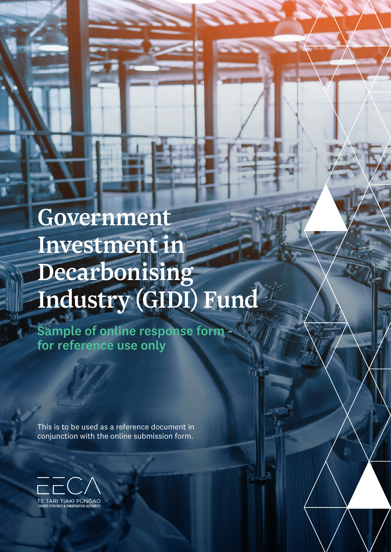# Government Investment in Decarbonising Industry (GIDI) Fund

Sample of online response form for reference use only

This is to be used as a reference document in conjunction with the online submission form.

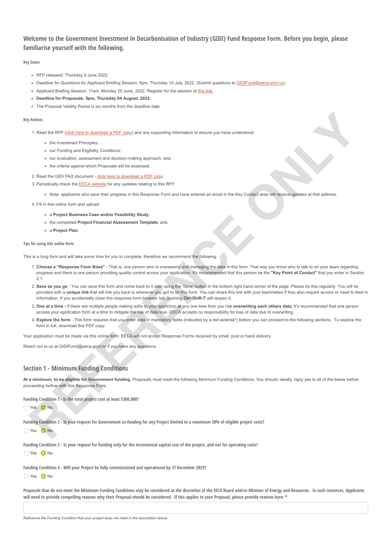# **Welcome to the Government Investment in Decarbonisation of Industry (GIDI) Fund Response Form. Before you begin, please familiarise yourself with the following.**

#### **Key Dates**

- RFP released: Thursday 9 June 2022.
- . Deadline for Questions for Applicant Briefing Session: 5pm, Thursday 14 July, 2022. (Submit questions to [GIDIFund@eeca.govt.nz\)](mailto:GIDIFund@eeca.govt.nz)
- Applicant Briefing Session: 11am, Monday 20 June, 2022. Register for the session at [this link.](https://teams.microsoft.com/registration/0ikWiyQyyUGohA9VP6m0Mg,jSEZ5BcZ50C4YBBLDL1s_g,EN0hHNNB0kK5sbysWVd7Ig,yBd09lH-FUqQuN0OlXcjIw,iip7_sFH2Eyk6jit2q4skQ,hJy2QVkPHUGzIMvtSlaGqA?mode=read&tenantId=8b1629d2-3224-41c9-a884-0f553fa9b432)
- **Deadline for Proposals: 5pm, Thursday 04 August, 2022.**
- The Proposal Validity Period is six months from the deadline date

#### **Key Actions**

- 1. Read the RFP (click here to download a PDF copy) and any supporting information to ensure you have understood:
	- the Investment Principles:
	- our Funding and Eligibility Conditions;
	- our evaluation, assessment and decision-making approach; and,
	- the criteria against which Proposals will be assessed.

#### 2. Read the GIDI FAQ document - click here to download a PDF copy.

- 3. Periodically check the EECA website for any updates relating to this RFP.
	- Note: applicants who save their progress in this Response Form and have entered an email in the Key Contact area will receive updates at that address.

4. Fill in this online form and upload:

- a **Project Business Case and/or Feasibility Study**;
- the completed **Project Financial Assessment Template**; and,
- a **Project Plan**.

#### **Tips for using this online form**

This is a long form and will take some time for you to complete, therefore we recommend the following.

- 1. **Choose a "Response Form Boss"** That is, one person who is overseeing and managing the data in this form. That way you know who to talk to on your team regarding progress and there is one person providing quality control across your application. It's recommended that this person be the **"Key Point of Contact"** that you enter in Section 2.1. *R* (in the state of the state of the state of the state of the state of the state of the state of the state of the state of the state of the state of the state of the state of the state of the state of the state of the s
- 2. **Save as you go** You can save this form and come back to it later using the 'Save' button in the bottom right hand corner of the page. Please do this regularly. You will be provided with a **unique link** that will link you back to wherever you got to on this form. You can share this link with your teammates if they also require access or need to feed in information. If you accidentally close this response form browser tab, pushing **Ctrl-Shift-T** will reopen it.
- 3. **One at a time -** If there are multiple people making edits to your appliction at any one time then you risk **overwriting each others data**. It's recommended that one person access your application form at a time to mitigate the risk of data loss. EECA accepts no responsibility for loss of data due to overwriting.
- 4. **Explore the form** This form requires that you enter data in mandatory fields (indicated by a red asterisk\*) before you can proceed to the following sections. To explore the form in full, download this PDF copy.

Your application must be made via this online form. EECA will not accept Response Forms received by email, post or hand delivery.

Reach out to us at GIDIFund@eeca.govt.nz if you have any questions.

# **Section 1 - Minimum Funding Conditions**

**At a minimum, to be eligible for Government funding**, Proposals must meet the following Minimum Funding Conditions. You should, ideally, reply yes to all of the below before proceeding further with this Response Form.

**Funding Condition 1 - Is the total project cost at least \$300,000?**

Yes ONo

**Funding Condition 2 - Is your request for Government co-funding for any Project limited to a maximum 50% of eligible project costs?**

O Yes O No

**Funding Condition 3 - Is your request for funding only for the incremental capital cost of the project, and not for operating costs?**

◯ Yes **O** No

**Funding Condition 4 - Will your Project be fully commissioned and operational by 31 December 2025?**

Yes ONo

**Proposals that do not meet the Minimum Funding Conditions may be considered at the discretion of the EECA Board and/or Minister of Energy and Resources. In such instances, Applicants will need to provide compelling reasons why their Proposal should be considered. If this applies to your Proposal, please provide reasons here: \***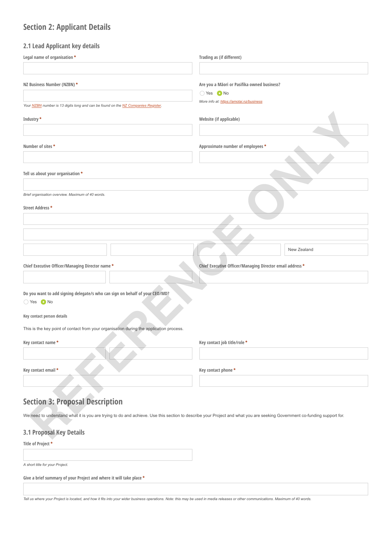# **Section 2: Applicant Details**

# **2.1 Lead Applicant key details**

| Legal name of organisation *                                                                                                                                             | Trading as (if different)                                 |
|--------------------------------------------------------------------------------------------------------------------------------------------------------------------------|-----------------------------------------------------------|
|                                                                                                                                                                          |                                                           |
| NZ Business Number (NZBN) *                                                                                                                                              | Are you a Mäori or Pasifika owned business?               |
|                                                                                                                                                                          | ○ Yes ● No                                                |
|                                                                                                                                                                          | More info at: https://amotai.nz/business                  |
| Your NZBN number is 13 digits long and can be found on the NZ Companies Register.                                                                                        |                                                           |
| Industry *                                                                                                                                                               | Website (if applicable)                                   |
|                                                                                                                                                                          |                                                           |
| Number of sites *                                                                                                                                                        | Approximate number of employees *                         |
|                                                                                                                                                                          |                                                           |
| Tell us about your organisation *                                                                                                                                        |                                                           |
|                                                                                                                                                                          |                                                           |
| Brief organisation overview. Maximum of 40 words.<br>Street Address *                                                                                                    |                                                           |
|                                                                                                                                                                          |                                                           |
|                                                                                                                                                                          |                                                           |
|                                                                                                                                                                          | New Zealand                                               |
| Chief Executive Officer/Managing Director name *                                                                                                                         | Chief Executive Officer/Managing Director email address * |
|                                                                                                                                                                          |                                                           |
| Do you want to add signing delegate/s who can sign on behalf of your CEO/MD?                                                                                             |                                                           |
| ○ Yes ● No                                                                                                                                                               |                                                           |
| Key contact person details                                                                                                                                               |                                                           |
| This is the key point of contact from your organisation during the application process.                                                                                  |                                                           |
| Key contact name*                                                                                                                                                        | Key contact job title/role *                              |
|                                                                                                                                                                          |                                                           |
| Key contact email *                                                                                                                                                      | Key contact phone *                                       |
|                                                                                                                                                                          |                                                           |
|                                                                                                                                                                          |                                                           |
| <b>Section 3: Proposal Description</b>                                                                                                                                   |                                                           |
| We need to understand what it is you are trying to do and achieve. Use this section to describe your Project and what you are seeking Government co-funding support for. |                                                           |
| <b>3.1 Proposal Key Details</b>                                                                                                                                          |                                                           |
|                                                                                                                                                                          |                                                           |

# **3.1 Proposal Key Details**

#### **Title of Project \***

*A short title for your Project.*

**Give a brief summary of your Project and where it will take place \***

*Tell us where your Project is located, and how it fits into your wider business operations. Note: this may be used in media releases or other communications. Maximum of 40 words.*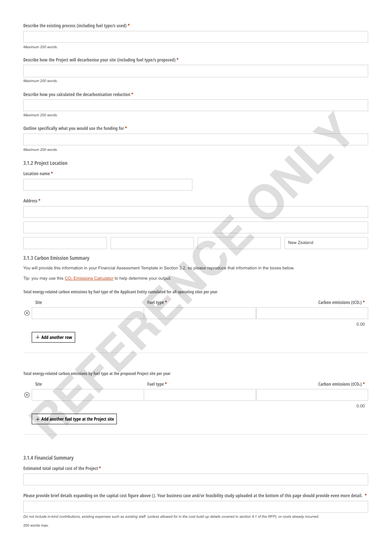| Describe the existing process (including fuel type/s used) * |
|--------------------------------------------------------------|
|--------------------------------------------------------------|

#### *Maximum 200 words.*

| Describe how the Project will decarbonise your site (including fuel type/s proposed) * |  |  |
|----------------------------------------------------------------------------------------|--|--|
|                                                                                        |  |  |

*Maximum 200 words.*

|  |  |  |  | Describe how you calculated the decarbonisation reduction * |  |
|--|--|--|--|-------------------------------------------------------------|--|
|--|--|--|--|-------------------------------------------------------------|--|

## **3.1.2 Project Location**

| Location name * |             |
|-----------------|-------------|
|                 |             |
| Address*        |             |
|                 |             |
|                 |             |
|                 | New Zealand |

## **3.1.3 Carbon Emission Summary**

| Maximum 200 words.                                                                                                                               |             |                                        |
|--------------------------------------------------------------------------------------------------------------------------------------------------|-------------|----------------------------------------|
| Outline specifically what you would use the funding for *                                                                                        |             |                                        |
|                                                                                                                                                  |             |                                        |
| Maximum 200 words.                                                                                                                               |             |                                        |
| 3.1.2 Project Location                                                                                                                           |             |                                        |
| Location name*                                                                                                                                   |             |                                        |
|                                                                                                                                                  |             |                                        |
| Address *                                                                                                                                        |             |                                        |
|                                                                                                                                                  |             |                                        |
|                                                                                                                                                  |             |                                        |
|                                                                                                                                                  |             | New Zealand                            |
| 3.1.3 Carbon Emission Summary                                                                                                                    |             |                                        |
| You will provide this information in your Financial Assessment Template in Section 3.2, so please reproduce that information in the boxes below. |             |                                        |
| Tip: you may use this CO <sub>2</sub> Emissions Calculator to help determine your output.                                                        |             |                                        |
| Total energy-related carbon emissions by fuel type of the Applicant Entity cumulated for all operating sites per year                            |             |                                        |
| Site                                                                                                                                             | Fuel type * | Carbon emissions (tCO <sub>2</sub> ) * |
| $\circledcirc$                                                                                                                                   |             |                                        |
|                                                                                                                                                  |             | 0.00                                   |
| $+$ Add another row                                                                                                                              |             |                                        |
|                                                                                                                                                  |             |                                        |
|                                                                                                                                                  |             |                                        |
| Total energy-related carbon emissions by fuel type at the proposed Project site per year                                                         |             |                                        |
| Site                                                                                                                                             | Fuel type * | Carbon emissions (tCO <sub>2</sub> ) * |
| $\circledR$                                                                                                                                      |             |                                        |
|                                                                                                                                                  |             | 0.00                                   |
| + Add another fuel type at the Project site                                                                                                      |             |                                        |
|                                                                                                                                                  |             |                                        |
|                                                                                                                                                  |             |                                        |
|                                                                                                                                                  |             |                                        |
| 3.1.4 Financial Summary                                                                                                                          |             |                                        |
| Estimated total capital cost of the Project *                                                                                                    |             |                                        |
|                                                                                                                                                  |             |                                        |

**Please provide brief details expanding on the capital cost figure above (). Your business case and/or feasibility study uploaded at the bottom of this page should provide even more detail. \***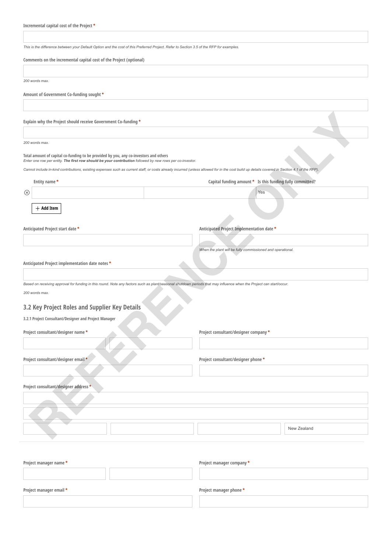*This is the difference between your Default Option and the cost of this Preferred Project. Refer to Section 3.5 of the RFP for examples.*

|  | Comments on the incremental capital cost of the Project (optional) |  |  |  |  |
|--|--------------------------------------------------------------------|--|--|--|--|
|  |                                                                    |  |  |  |  |

| 200 words max.                                                                                                                                                                                     |                                                            |
|----------------------------------------------------------------------------------------------------------------------------------------------------------------------------------------------------|------------------------------------------------------------|
| Amount of Government Co-funding sought *                                                                                                                                                           |                                                            |
|                                                                                                                                                                                                    |                                                            |
| Explain why the Project should receive Government Co-funding *                                                                                                                                     |                                                            |
|                                                                                                                                                                                                    |                                                            |
| 200 words max.                                                                                                                                                                                     |                                                            |
| Total amount of capital co-funding to be provided by you, any co-investors and others<br>Enter one row per entity. The first row should be your contribution followed by new rows per co-investor. |                                                            |
| Cannot include in-kind contributions, existing expenses such as current staff, or costs already incurred (unless allowed for in the cost build up details covered in Section 4.1 of the RFP).      |                                                            |
| Entity name*                                                                                                                                                                                       | Capital funding amount * Is this funding fully committed?  |
| $\circledcirc$                                                                                                                                                                                     | Yes                                                        |
| $+$ Add Item                                                                                                                                                                                       |                                                            |
|                                                                                                                                                                                                    |                                                            |
| Anticipated Project start date *                                                                                                                                                                   | Anticipated Project Implementation date *                  |
|                                                                                                                                                                                                    |                                                            |
|                                                                                                                                                                                                    | When the plant will be fully commissioned and operational. |
| Anticipated Project implementation date notes *                                                                                                                                                    |                                                            |
|                                                                                                                                                                                                    |                                                            |
| Based on receiving approval for funding in this round. Note any factors such as plant/seasonal shutdown periods that may influence when the Project can start/occur.                               |                                                            |
| 200 words max.                                                                                                                                                                                     |                                                            |
| 3.2 Key Project Roles and Supplier Key Details                                                                                                                                                     |                                                            |
| 3.2.1 Project Consultant/Designer and Project Manager                                                                                                                                              |                                                            |
| Project consultant/designer name *                                                                                                                                                                 | Project consultant/designer company *                      |
|                                                                                                                                                                                                    |                                                            |
| Project consultant/designer email *                                                                                                                                                                | Project consultant/designer phone *                        |
|                                                                                                                                                                                                    |                                                            |
| Project consultant/designer address *                                                                                                                                                              |                                                            |
|                                                                                                                                                                                                    |                                                            |
|                                                                                                                                                                                                    |                                                            |
|                                                                                                                                                                                                    |                                                            |
|                                                                                                                                                                                                    | New Zealand                                                |
|                                                                                                                                                                                                    |                                                            |
|                                                                                                                                                                                                    |                                                            |
| Project manager name *                                                                                                                                                                             | Project manager company *                                  |
|                                                                                                                                                                                                    |                                                            |
|                                                                                                                                                                                                    |                                                            |

**Project manager email \* Project manager phone \***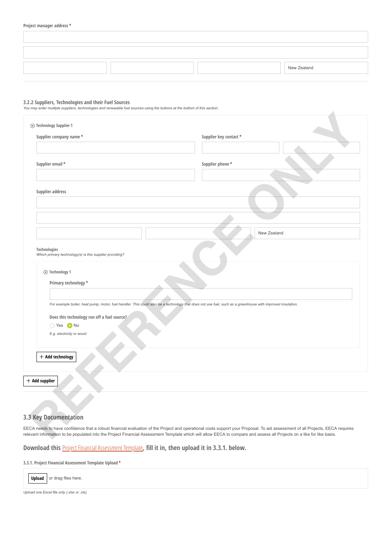|  | New Zealand |
|--|-------------|

#### **3.2.2 Suppliers, Technologies and their Fuel Sources**

*You may enter mulitple suppliers, technologies and renewable fuel sources using the buttons at the bottom of this section.*

| Supplier company name *                                                                                                                                                                                                                              | Supplier key contact * |
|------------------------------------------------------------------------------------------------------------------------------------------------------------------------------------------------------------------------------------------------------|------------------------|
|                                                                                                                                                                                                                                                      |                        |
| Supplier email *                                                                                                                                                                                                                                     | Supplier phone*        |
|                                                                                                                                                                                                                                                      |                        |
| Supplier address                                                                                                                                                                                                                                     |                        |
|                                                                                                                                                                                                                                                      |                        |
|                                                                                                                                                                                                                                                      |                        |
|                                                                                                                                                                                                                                                      | New Zealand            |
| Technologies<br>Which primary technology(s) is this supplier providing?                                                                                                                                                                              |                        |
| $\otimes$ Technology 1<br>Primary technology *                                                                                                                                                                                                       |                        |
| For example boiler, heat pump, motor, fuel handler. This could also be a technology that does not use fuel, such as a greenhouse with improved insulation.<br>Does this technology run off a fuel source?<br>○ Yes ● No<br>E.g. electricity or wood. |                        |
| + Add technology                                                                                                                                                                                                                                     |                        |
| $+$ Add supplier                                                                                                                                                                                                                                     |                        |
|                                                                                                                                                                                                                                                      |                        |
| 3 Key Documentation                                                                                                                                                                                                                                  |                        |
|                                                                                                                                                                                                                                                      |                        |

# **3.3 Key Documentation**

 $\overline{\phantom{a}}$ 

**Download this** [Project Financial Assessment Template](https://www.eeca.govt.nz/assets/EECA-Resources/Co-funding/RFP-Financial-Assessment-Template.xlsx)**, fill it in, then upload it in 3.3.1. below.** 

**3.3.1. Project Financial Assessment Template Upload \***



*Upload one Excel file only (.xlsx or .xls).*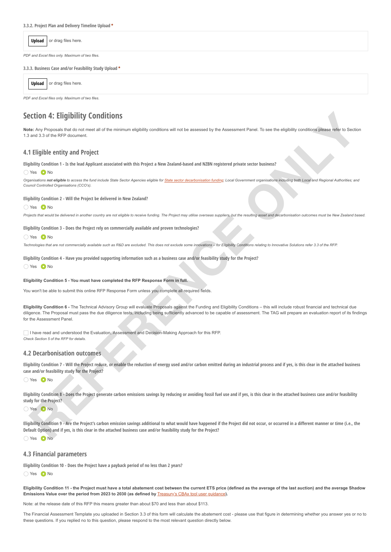**3.3.2. Project Plan and Delivery Timeline Upload \***

or drag files here. **Upload**

*PDF and Excel files only. Maximum of two files.*

**3.3.3. Business Case and/or Feasibility Study Upload \***

|  | <b>Upload</b> or drag files here. |
|--|-----------------------------------|
|--|-----------------------------------|

*PDF and Excel files only. Maximum of two files.*

# **Section 4: Eligibility Conditions**

Note: Any Proposals that do not meet all of the minimum eligibility conditions will not be assessed by the Assessment Panel. To see the eligibility conditions please refer to Section 1.3 and 3.3 of the RFP document.

# **4.1 Eligible entity and Project**

**Eligibility Condition 1 - Is the lead Applicant associated with this Project a New Zealand-based and NZBN registered private sector business?**

#### O Yes O No

Organisations not eligible to access the fund include State Sector Agencies eligible for State sector decarbonisation funding; Local Government organisations including both Local and Regional Authorities; and *Council Controlled Organisations (CCO's).*

**Eligibility Condition 2 - Will the Project be delivered in New Zealand?**

◯ Yes ● No

*Projects that would be delivered in another country are not eligible to receive funding. The Project may utilise overseas suppliers, but the resulting asset and decarbonisation outcomes must be New Zealand based.*

**Eligibility Condition 3 - Does the Project rely on commercially available and proven technologies?**

Yes ONo

*Technologies that are not commercially available such as R&D are excluded. This does not exclude some innovations – for Eligibility Conditions relating to Innovative Solutions refer 3.3 of the RFP.*

**Eligibility Condition 4 - Have you provided supporting information such as a business case and/or feasibility study for the Project?** ○ Yes ● No

#### **Eligibility Condition 5 - You must have completed the RFP Response Form in full.**

You won't be able to submit this online RFP Response Form unless you complete all required fields.

**Eligibility Condition 6 -** The Technical Advisory Group will evaluate Proposals against the Funding and Eligibility Conditions – this will include robust financial and technical due diligence. The Proposal must pass the due diligence tests, including being sufficiently advanced to be capable of assessment. The TAG will prepare an evaluation report of its findings for the Assessment Panel. **Echina 4:** Eligibidity Conditions<br>
REFERENCE INTERNATIONAL STRUCTURE CONTINUES INTO THE SECTION OF A SECTION TO A SECTION THE SECTION OF A SECTION CONTINUES INTO A SECTION AND PROPERTY AND RESERVE AT A SECTION OF A SECTIO

I have read and understood the Evaluation, Assessment and Decision-Making Approach for this RFP. *Check Section 5 of the RFP for details.*

# **4.2 Decarbonisation outcomes**

Eligibility Condition 7 - Will the Project reduce, or enable the reduction of energy used and/or carbon emitted during an industrial process and if yes, is this clear in the attached business **case and/or feasibility study for the Project?**

O Yes ■ No

**Eligibility Condition 8 - Does the Project generate carbon emissions savings by reducing or avoiding fossil fuel use and if yes, is this clear in the attached business case and/or feasibility study for the Project?**

Yes ONo

Eligibility Condition 9 - Are the Project's carbon emission savings additional to what would have happened if the Project did not occur, or occurred in a different manner or time (i.e., the **Default Option) and if yes, is this clear in the attached business case and/or feasibility study for the Project?**

O Yes ● No

# **4.3 Financial parameters**

**Eligibility Condition 10 - Does the Project have a payback period of no less than 2 years?**

Yes ONo

**Eligibility Condition 11 - the Project must have a total abatement cost between the current ETS price (defined as the average of the last auction) and the average Shadow Emissions Value over the period from 2023 to 2030 (as defined by** [Treasury's CBAx tool user guidance](https://www.treasury.govt.nz/sites/default/files/2021-09/cbax-guide-sep21.pdf)**).**

Note: at the release date of this RFP this means greater than about \$70 and less than about \$113.

The Financial Assessment Template you uploaded in Section 3.3 of this form will calculate the abatement cost - please use that figure in determining whether you answer yes or no to these questions. If you replied no to this question, please respond to the most relevant question directly below.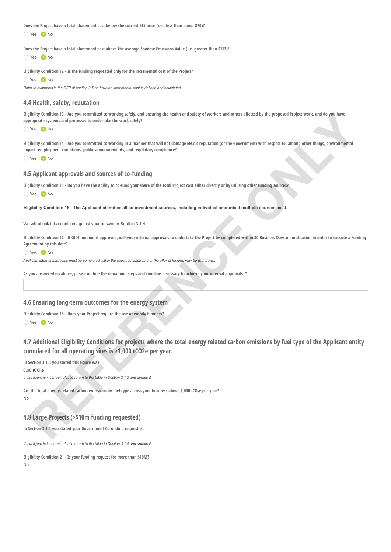**Does the Project have a total abatement cost below the current ETS price (i.e., less than about \$70)?** Yes ONo

**Does the Project have a total abatement cost above the average Shadow Emissions Value (i.e. greater than \$113)?** O Yes O No

**Eligibility Condition 12 - Is the funding requested only for the incremental cost of the Project?** O Yes O No

*Refer to examples in the RFP at section 3.5 on how the incremental cost is defined and calculated.*

# **4.4 Health, safety, reputation**

**Eligibility Condition 13 - Are you committed to working safely, and ensuring the health and safety of workers and others affected by the proposed Project work, and do you have appropriate systems and processes to undertake the work safely?**

Yes ONo

**Eligibility Condition 14 - Are you committed to working in a manner that will not damage EECA's reputation (or the Government) with respect to, among other things, environmental impact, employment conditions, public announcements, and regulatory compliance?**

◯ Yes ● No

# **4.5 Applicant approvals and sources of co-funding**

**Eligibility Condition 15 - Do you have the ability to co-fund your share of the total Project cost either directly or by utilising other funding sources?**

Yes ONo

**Eligibility Condition 16 - The Applicant identifies all co-investment sources, including individual amounts if multiple sources exist.**

We will check this condition against your answer in Section 3.1.4.

**Eligibility Condition 17 - If GIDI funding is approved, will your internal approvals to undertake the Project be completed within 30 Business Days of notification in order to execute a Funding Agreement by this date?**

Yes ONo

*Applicant internal approvals must be completed within the specified timeframe or the offer of funding may be withdrawn.*

**As you answered no above, please outline the remaining steps and timeline necessary to achieve your internal approvals. \***

# **4.6 Ensuring long-term outcomes for the energy system**

**Eligibility Condition 18 - Does your Project require the use of woody biomass?** Yes ONo

**4.7 Additional Eligibility Conditions for projects where the total energy related carbon emissions by fuel type of the Applicant entity cumulated for all operating sites is >1,000 tCO2e per year.** philip contents the *large commission to weaking about a moving* decleds and solety of workers and others detect by the proposed Project ance, we dispute the project by the respect of the *large specifical states* and proc

**In Section 3.1.3 you stated this figure was:**

0.00 tCO₂e

*If this figure is incorrect, please return to the table in Section 3.1.3 and update it.*

**Are the total energy-related carbon emissions by fuel type across your business above 1,000 tCO₂e per year?** No

# **4.8 Large Projects (>\$10m funding requested)**

**In Section 3.1.4 you stated your Government Co-unding request is:**

*If this figure is incorrect, please return to the table in Section 3.1.4 and update it.*

**Eligibility Condition 21 - Is your funding request for more than \$10M?** No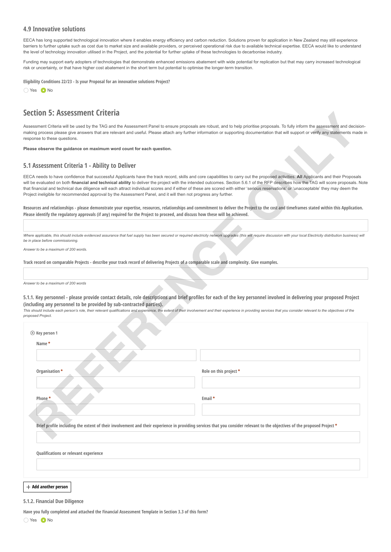# **4.9 Innovative solutions**

EECA has long supported technological innovation where it enables energy efficiency and carbon reduction. Solutions proven for application in New Zealand may still experience barriers to further uptake such as cost due to market size and available providers, or perceived operational risk due to available technical expertise. EECA would like to understand the level of technology innovation utilised in the Project, and the potential for further uptake of these technologies to decarbonise industry.

Funding may support early adopters of technologies that demonstrate enhanced emissions abatement with wide potential for replication but that may carry increased technological risk or uncertainty, or that have higher cost abatement in the short term but potential to optimise the longer-term transition.

**Eligibility Conditions 22/23 - Is your Proposal for an innovative solutions Project?**

∩ Yes ● No

# **Section 5: Assessment Criteria**

# **5.1 Assessment Criteria 1 - Ability to Deliver**

| Section 5: Assessment Criteria                                                                                                 |                                                                                                                                                                                                                                                                                                                                                                                                                                                                                                                                                                            |  |
|--------------------------------------------------------------------------------------------------------------------------------|----------------------------------------------------------------------------------------------------------------------------------------------------------------------------------------------------------------------------------------------------------------------------------------------------------------------------------------------------------------------------------------------------------------------------------------------------------------------------------------------------------------------------------------------------------------------------|--|
| response to these questions.                                                                                                   | Assessment Criteria will be used by the TAG and the Assessment Panel to ensure proposals are robust, and to help prioritise proposals. To fully inform the assessment and decision-<br>making process please give answers that are relevant and useful. Please attach any further information or supporting documentation that will support or verify any statements made ir                                                                                                                                                                                               |  |
| Please observe the guidance on maximum word count for each question.                                                           |                                                                                                                                                                                                                                                                                                                                                                                                                                                                                                                                                                            |  |
| 5.1 Assessment Criteria 1 - Ability to Deliver                                                                                 |                                                                                                                                                                                                                                                                                                                                                                                                                                                                                                                                                                            |  |
| Project ineligible for recommended approval by the Assessment Panel, and it will then not progress any further.                | EECA needs to have confidence that successful Applicants have the track record, skills and core capabilities to carry out the proposed activities. All Applicants and their Proposals<br>will be evaluated on both financial and technical ability to deliver the project with the intended outcomes. Section 5.6.1 of the RFP describes how the TAG will score proposals. Note<br>that financial and technical due diligence will each attract individual scores and if either of these are scored with either 'serious reservations' or 'unacceptable' they may deem the |  |
| Please identify the regulatory approvals (if any) required for the Project to proceed, and discuss how these will be achieved. | Resources and relationships - please demonstrate your expertise, resources, relationships and commitment to deliver the Project to the cost and timeframes stated within this Application.                                                                                                                                                                                                                                                                                                                                                                                 |  |
|                                                                                                                                |                                                                                                                                                                                                                                                                                                                                                                                                                                                                                                                                                                            |  |
| be in place before commissioning.                                                                                              | Where applicable, this should include evidenced assurance that fuel supply has been secured or required electricity network upgrades (this will require discussion with your local Electricity distribution business) will                                                                                                                                                                                                                                                                                                                                                 |  |
| Answer to be a maximum of 200 words.                                                                                           |                                                                                                                                                                                                                                                                                                                                                                                                                                                                                                                                                                            |  |
|                                                                                                                                | Track record on comparable Projects - describe your track record of delivering Projects of a comparable scale and complexity. Give examples.                                                                                                                                                                                                                                                                                                                                                                                                                               |  |
|                                                                                                                                |                                                                                                                                                                                                                                                                                                                                                                                                                                                                                                                                                                            |  |
| Answer to be a maximum of 200 words                                                                                            | 5.1.1. Key personnel - please provide contact details, role descriptions and brief profiles for each of the key personnel involved in delivering your proposed Project                                                                                                                                                                                                                                                                                                                                                                                                     |  |
| (including any personnel to be provided by sub-contracted parties).<br>proposed Project.                                       | This should include each person's role, their relevant qualifications and experience, the extent of their involvement and their experience in providing services that you consider relevant to the objectives of the                                                                                                                                                                                                                                                                                                                                                       |  |
| $\otimes$ Key person 1                                                                                                         |                                                                                                                                                                                                                                                                                                                                                                                                                                                                                                                                                                            |  |
| Name*                                                                                                                          |                                                                                                                                                                                                                                                                                                                                                                                                                                                                                                                                                                            |  |
|                                                                                                                                |                                                                                                                                                                                                                                                                                                                                                                                                                                                                                                                                                                            |  |
| Organisation *                                                                                                                 | Role on this project *                                                                                                                                                                                                                                                                                                                                                                                                                                                                                                                                                     |  |
|                                                                                                                                |                                                                                                                                                                                                                                                                                                                                                                                                                                                                                                                                                                            |  |
| Phone *                                                                                                                        | Email *                                                                                                                                                                                                                                                                                                                                                                                                                                                                                                                                                                    |  |
|                                                                                                                                |                                                                                                                                                                                                                                                                                                                                                                                                                                                                                                                                                                            |  |
|                                                                                                                                |                                                                                                                                                                                                                                                                                                                                                                                                                                                                                                                                                                            |  |
|                                                                                                                                | Brief profile including the extent of their involvement and their experience in providing services that you consider relevant to the objectives of the proposed Project *                                                                                                                                                                                                                                                                                                                                                                                                  |  |
|                                                                                                                                |                                                                                                                                                                                                                                                                                                                                                                                                                                                                                                                                                                            |  |
| Qualifications or relevant experience                                                                                          |                                                                                                                                                                                                                                                                                                                                                                                                                                                                                                                                                                            |  |
|                                                                                                                                |                                                                                                                                                                                                                                                                                                                                                                                                                                                                                                                                                                            |  |
|                                                                                                                                |                                                                                                                                                                                                                                                                                                                                                                                                                                                                                                                                                                            |  |

#### **Add another person**

#### **5.1.2. Financial Due Diligence**

**Have you fully completed and attached the Financial Assessment Template in Section 3.3 of this form?**

Yes ONo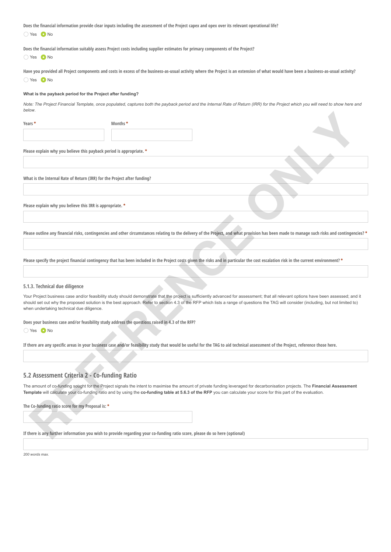**Does the financial information provide clear inputs including the assessment of the Project capex and opex over its relevant operational life?** ∩ Yes ● No

**Does the financial information suitably assess Project costs including supplier estimates for primary components of the Project?** O Yes O No

**Have you provided all Project components and costs in excess of the business-as-usual activity where the Project is an extension of what would have been a business-as-usual activity?** ◯ Yes ● No

#### **What is the payback period for the Project after funding?**

*Note: The Project Financial Template, once populated, captures both the payback period and the Internal Rate of Return (IRR) for the Project which you will need to show here and below*.

**Years \* Months \***

**Please explain why you believe this payback period is appropriate. \***

**What is the Internal Rate of Return (IRR) for the Project after funding?**

**Please explain why you believe this IRR is appropriate. \***

**Please outline any financial risks, contingencies and other circumstances relating to the delivery of the Project, and what provision has been made to manage such risks and contingencies? \***

**Please specify the project financial contingency that has been included in the Project costs given the risks and in particular the cost escalation risk in the current environment? \***

#### **5.1.3. Technical due diligence**

Your Project business case and/or feasibility study should demonstrate that the project is sufficiently advanced for assessment; that all relevant options have been assessed; and it should set out why the proposed solution is the best approach. Refer to section 4.3 of the RFP which lists a range of questions the TAG will consider (including, but not limited to) when undertaking technical due diligence. **2008**<br>**Thuse applies why you between this graph particle appropriate. You also apply the second transfer and the state of the state of the state of the state of the state of the state of the state of the state of the stat** 

**Does your business case and/or feasibility study address the questions raised in 4.3 of the RFP?**

No Yes O No

**If there are any specific areas in your business case and/or feasibility study that would be useful for the TAG to aid technical assessment of the Project, reference those here.** 

# **5.2 Assessment Criteria 2 - Co-funding Ratio**

The amount of co-funding sought for the Project signals the intent to maximise the amount of private funding leveraged for decarbonisation projects. The **Financial Assessment Template** will calculate your co-funding ratio and by using the **co-funding table at 5.6.3 of the RFP** you can calculate your score for this part of the evaluation.

**The Co-funding ratio score for my Proposal is: \***

**If there is any further information you wish to provide regarding your co-funding ratio score, please do so here (optional)**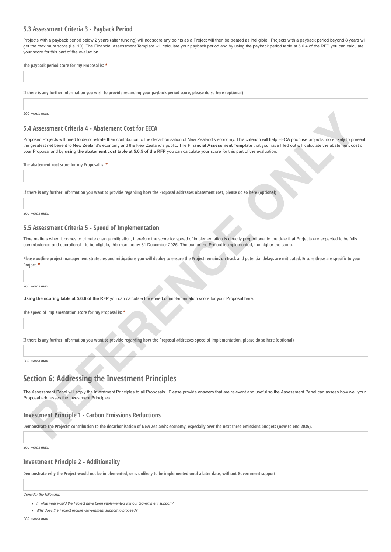# **5.3 Assessment Criteria 3 - Payback Period**

Projects with a payback period below 2 years (after funding) will not score any points as a Project will then be treated as ineligible. Projects with a payback period beyond 8 years will get the maximum score (i.e. 10). The Financial Assessment Template will calculate your payback period and by using the payback period table at 5.6.4 of the RFP you can calculate your score for this part of the evaluation.

| The payback period score for my Proposal is: * |  |  |  |
|------------------------------------------------|--|--|--|
|                                                |  |  |  |
|                                                |  |  |  |

**If there is any further information you wish to provide regarding your payback period score, please do so here (optional)**

*200 words max.*

# **5.4 Assessment Criteria 4 - Abatement Cost for EECA**

Proposed Projects will need to demonstrate their contribution to the decarbonisation of New Zealand's economy. This criterion will help EECA prioritise projects more likely to present the greatest net benefit to New Zealand's economy and the New Zealand's public. The **Financial Assessment Template** that you have filled out will calculate the abatement cost of your Proposal and by **using the abatement cost table at 5.6.5 of the RFP** you can calculate your score for this part of the evaluation. **Reserves the control of Abstement Cost for EECA<br>
A Assessment Criteria 4 - Abstement Cost for EECA<br>
A Assessment Criteria at a distance of the contracts to be described at the account the choice of the file Systems pack m** 

**The abatement cost score for my Proposal is: \***

**If there is any further information you want to provide regarding how the Proposal addresses abatement cost, please do so here (optional)**

*200 words max.*

## **5.5 Assessment Criteria 5 - Speed of Implementation**

Time matters when it comes to climate change mitigation, therefore the score for speed of implementation is directly proportional to the date that Projects are expected to be fully commissioned and operational - to be eligible, this must be by 31 December 2025. The earlier the Project is implemented, the higher the score.

**Please outline project management strategies and mitigations you will deploy to ensure the Project remains on track and potential delays are mitigated. Ensure these are specific to your Project. \***

*200 words max.*

**Using the scoring table at 5.6.6 of the RFP** you can calculate the speed of implementation score for your Proposal here.

**The speed of implementation score for my Proposal is: \***

**If there is any further information you want to provide regarding how the Proposal addresses speed of implementation, please do so here (optional)**

*200 words max.*

# **Section 6: Addressing the Investment Principles**

The Assessment Panel will apply the Investment Principles to all Proposals. Please provide answers that are relevant and useful so the Assessment Panel can assess how well your Proposal addresses the Investment Principles.

# **Investment Principle 1 - Carbon Emissions Reductions**

**Demonstrate the Projects' contribution to the decarbonisation of New Zealand's economy, especially over the next three emissions budgets (now to end 2035).**

*200 words max.*

# **Investment Principle 2 - Additionality**

**Demonstrate why the Project would not be implemented, or is unlikely to be implemented until a later date, without Government support.**

*Consider the following:*

*In what year would the Project have been implemented without Government support?*

*Why does the Project require Government support to proceed?*

*200 words max.*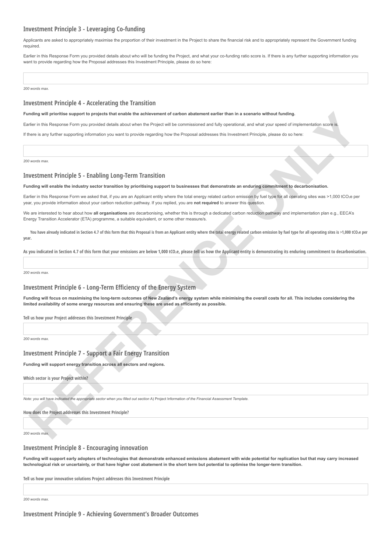# **Investment Principle 3 - Leveraging Co-funding**

Applicants are asked to appropriately maximise the proportion of their investment in the Project to share the financial risk and to appropriately represent the Government funding required.

Earlier in this Response Form you provided details about who will be funding the Project, and what your co-funding ratio score is. If there is any further supporting information you want to provide regarding how the Proposal addresses this Investment Principle, please do so here

*200 words max.*

## **Investment Principle 4 - Accelerating the Transition**

#### **Funding will prioritise support to projects that enable the achievement of carbon abatement earlier than in a scenario without funding.**

Earlier in this Response Form you provided details about when the Project will be commissioned and fully operational, and what your speed of implementation score is

If there is any further supporting information you want to provide regarding how the Proposal addresses this Investment Principle, please do so here:

*200 words max.*

# **Investment Principle 5 - Enabling Long-Term Transition**

#### **Funding will enable the industry sector transition by prioritising support to businesses that demonstrate an enduring commitment to decarbonisation.**

Earlier in this Response Form we asked that, if you are an Applicant entity where the total energy related carbon emission by fuel type for all operating sites was >1,000 tCO2e per year, you provide information about your carbon reduction pathway. If you replied, you are **not required** to answer this question. uning all products any project to the state of a statement of scheme and state the third and the third and the statement with the state of the state of the state of the state of the state of the state of the state of the s

We are interested to hear about how **all organisations** are decarbonising, whether this is through a dedicated carbon reduction pathway and implementation plan e.g., EECA's Energy Transition Accelerator (ETA) programme, a suitable equivalent, or some other measure/s.

√ You have already indicated in Section 4.7 of this form that this Proposal is from an Applicant entity where the total energy related carbon emission by fuel type for all operating sites is >1,000 tCO<sub>2</sub>e per **year.**

As you indicated in Section 4.7 of this form that your emissions are below 1,000 tCO<sub>2</sub>e, please tell us how the Applicant entity is demonstrating its enduring commitment to decarbonisation.

*200 words max.*

## **Investment Principle 6 - Long-Term Efficiency of the Energy System**

**Funding will focus on maximising the long-term outcomes of New Zealand's energy system while minimising the overall costs for all. This includes considering the limited availability of some energy resources and ensuring these are used as efficiently as possible.**

**Tell us how your Project addresses this Investment Principle**

*200 words max.*

## **Investment Principle 7 - Support a Fair Energy Transition**

**Funding will support energy transition across all sectors and regions.**

**Which sector is your Project within?**

*Note: you will have indicated the appropriate sector when you filled out section* A) Project Information *of the Financial Assessment Template.*

**How does the Project addresses this Investment Principle?**

*200 words max.*

# **Investment Principle 8 - Encouraging innovation**

**Funding will support early adopters of technologies that demonstrate enhanced emissions abatement with wide potential for replication but that may carry increased technological risk or uncertainty, or that have higher cost abatement in the short term but potential to optimise the longer-term transition.**

**Tell us how your innovative solutions Project addresses this Investment Principle**

*200 words max.*

**Investment Principle 9 - Achieving Government's Broader Outcomes**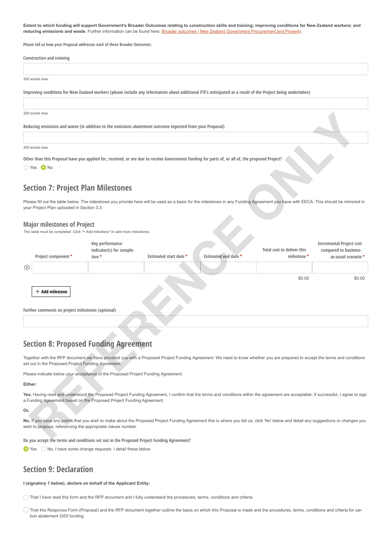**Extent to which funding will support Government's Broader Outcomes relating to construction skills and training; improving conditions for New Zealand workers; and** reducing emissions and waste. Further information can be found here: **Broader outcomes | New Zealand Government Procurement and Property.** 

**Please tell us how your Proposal addresses each of these Broader Outcomes:**

| <b>Construction and training</b>                                                                                                                             |
|--------------------------------------------------------------------------------------------------------------------------------------------------------------|
|                                                                                                                                                              |
| 200 words max.                                                                                                                                               |
| Improving conditions for New Zealand workers (please include any information about additional FTE's anticipated as a result of the Project being undertaken) |
|                                                                                                                                                              |
| 200 words max.                                                                                                                                               |
| Reducing emissions and waste (in addition to the emissions abatement outcome expected from your Proposal)                                                    |
|                                                                                                                                                              |
| 200 words max.                                                                                                                                               |
| Other than this Proposal have you applied for, received, or are due to receive Government funding for parts of, or all of, the proposed Project?             |
| ◯ Yes ● No                                                                                                                                                   |

# **Section 7: Project Plan Milestones**

#### **Major milestones of Project**

|                                                                                                           | 200 words max.                                                         |                                                                                  |                        |                                                                                                                                                                                     |                                           |                                                                                 |
|-----------------------------------------------------------------------------------------------------------|------------------------------------------------------------------------|----------------------------------------------------------------------------------|------------------------|-------------------------------------------------------------------------------------------------------------------------------------------------------------------------------------|-------------------------------------------|---------------------------------------------------------------------------------|
| Reducing emissions and waste (in addition to the emissions abatement outcome expected from your Proposal) |                                                                        |                                                                                  |                        |                                                                                                                                                                                     |                                           |                                                                                 |
|                                                                                                           |                                                                        |                                                                                  |                        |                                                                                                                                                                                     |                                           |                                                                                 |
|                                                                                                           | 200 words max.                                                         |                                                                                  |                        |                                                                                                                                                                                     |                                           |                                                                                 |
|                                                                                                           | ◯ Yes ● No                                                             |                                                                                  |                        | Other than this Proposal have you applied for, received, or are due to receive Government funding for parts of, or all of, the proposed Project?                                    |                                           |                                                                                 |
|                                                                                                           | <b>Section 7: Project Plan Milestones</b>                              |                                                                                  |                        |                                                                                                                                                                                     |                                           |                                                                                 |
|                                                                                                           | your Project Plan uploaded in Section 3.3.                             |                                                                                  |                        | Please fill out the table below. The milestones you provide here will be used as a basis for the milestones in any Funding Agreement you have with EECA. This should be mirrored in |                                           |                                                                                 |
|                                                                                                           | <b>Major milestones of Project</b>                                     | This table must be completed. Click "+ Add milestone" to add more milestones.    |                        |                                                                                                                                                                                     |                                           |                                                                                 |
|                                                                                                           | Project component*                                                     | Key performance<br>indicator(s) for comple-<br>tion *                            | Estimated start date * | Estimated end date *                                                                                                                                                                | Total cost to deliver this<br>milestone * | <b>Incremental Project cost</b><br>compared to business-<br>as-usual scenario * |
| ⊗                                                                                                         |                                                                        |                                                                                  |                        |                                                                                                                                                                                     |                                           |                                                                                 |
|                                                                                                           | $+$ Add milestone<br>Further comments on project milestones (optional) |                                                                                  |                        |                                                                                                                                                                                     | \$0.00                                    | \$0.00                                                                          |
|                                                                                                           |                                                                        |                                                                                  |                        |                                                                                                                                                                                     |                                           |                                                                                 |
|                                                                                                           |                                                                        | <b>Section 8: Proposed Funding Agreement</b>                                     |                        |                                                                                                                                                                                     |                                           |                                                                                 |
|                                                                                                           | set out in the Proposed Project Funding Agreement.                     |                                                                                  |                        | Together with the RFP document we have provided you with a Proposed Project Funding Agreement. We need to know whether you are prepared to accept the terms and conditions          |                                           |                                                                                 |
|                                                                                                           |                                                                        | Please indicate below your acceptance of the Proposed Project Funding Agreement. |                        |                                                                                                                                                                                     |                                           |                                                                                 |
| Either:                                                                                                   |                                                                        |                                                                                  |                        |                                                                                                                                                                                     |                                           |                                                                                 |
|                                                                                                           |                                                                        | a Funding Agreement based on the Proposed Project Funding Agreement.             |                        | Yes. Having read and understood the Proposed Project Funding Agreement, I confirm that the terms and conditions within the agreement are acceptable. If successful, I agree to sign |                                           |                                                                                 |
| Or,                                                                                                       |                                                                        |                                                                                  |                        |                                                                                                                                                                                     |                                           |                                                                                 |
|                                                                                                           | wish to propose, referencing the appropriate clause number.            |                                                                                  |                        | No. If you have any points that you wish to make about the Proposed Project Funding Agreement this is where you tell us; click 'No' below and detail any suggestions or changes you |                                           |                                                                                 |
|                                                                                                           |                                                                        |                                                                                  |                        |                                                                                                                                                                                     |                                           |                                                                                 |

# **Section 8: Proposed Funding Agreement**

#### **Either:**

#### **Or,**

**Do you accept the terms and conditions set out in the Proposed Project Funding Agreement?**

 $\bullet$  Yes  $\circ$  No, I have some change requests. I detail these below.

# **Section 9: Declaration**

#### **I (signatory 1 below), declare on behalf of the Applicant Entity:**

That I have read this form and the RFP document and I fully understand the procedures, terms, conditions and criteria.

That this Response Form (Proposal) and the RFP document together outline the basis on which this Proposal is made and the procedures, terms, conditions and criteria for carbon abatement GIDI funding.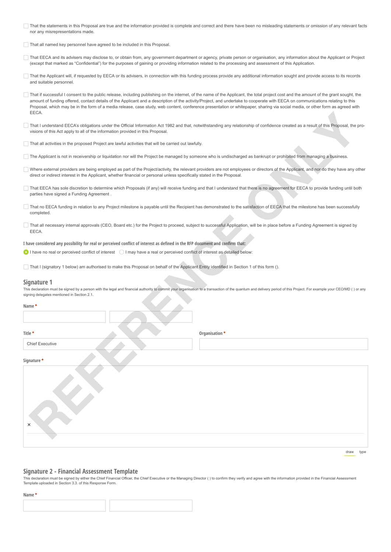That the statements in this Proposal are true and the information provided is complete and correct and there have been no misleading statements or omission of any relevant facts nor any misrepresentations made.

That all named key personnel have agreed to be included in this Proposal.

- That EECA and its advisers may disclose to, or obtain from, any government department or agency, private person or organisation, any information about the Applicant or Project (except that marked as "Confidential") for the purposes of gaining or providing information related to the processing and assessment of this Application.
- That the Applicant will, if requested by EECA or its advisers, in connection with this funding process provide any additional information sought and provide access to its records and suitable personnel.
- That if successful I consent to the public release, including publishing on the internet, of the name of the Applicant, the total project cost and the amount of the grant sought, the amount of funding offered, contact details of the Applicant and a description of the activity/Project, and undertake to cooperate with EECA on communications relating to this Proposal, which may be in the form of a media release, case study, web content, conference presentation or whitepaper, sharing via social media, or other form as agreed with EECA.
- That I understand EECA's obligations under the Official Information Act 1982 and that, notwithstanding any relationship of confidence created as a result of this Proposal, the provisions of this Act apply to all of the information provided in this Proposal.
- That all activities in the proposed Project are lawful activities that will be carried out lawfully.
- The Applicant is not in receivership or liquidation nor will the Project be managed by someone who is undischarged as bankrupt or prohibited from managing a business.
- Where external providers are being employed as part of the Project/activity, the relevant providers are not employees or directors of the Applicant, and nor do they have any other direct or indirect interest in the Applicant, whether financial or personal unless specifically stated in the Proposal.
- That EECA has sole discretion to determine which Proposals (if any) will receive funding and that I understand that there is no agreement for EECA to provide funding until both parties have signed a Funding Agreement .
- That no EECA funding in relation to any Project milestone is payable until the Recipient has demonstrated to the satisfaction of EECA that the milestone has been successfully completed.
- That all necessary internal approvals (CEO, Board etc.) for the Project to proceed, subject to successful Application, will be in place before a Funding Agreement is signed by EECA.

#### **Signature 1**

| That I understand EECA's obligations under the Official Information Act 1982 and that, notwithstanding any relationship of confidence created as a result of this Proposal, the pro-                                                                                                                           |  |  |
|----------------------------------------------------------------------------------------------------------------------------------------------------------------------------------------------------------------------------------------------------------------------------------------------------------------|--|--|
| That all activities in the proposed Project are lawful activities that will be carried out lawfully.                                                                                                                                                                                                           |  |  |
| The Applicant is not in receivership or liquidation nor will the Project be managed by someone who is undischarged as bankrupt or prohibited from managing a business.                                                                                                                                         |  |  |
| Where external providers are being employed as part of the Project/activity, the relevant providers are not employees or directors of the Applicant, and nor do they have any other<br>direct or indirect interest in the Applicant, whether financial or personal unless specifically stated in the Proposal. |  |  |
| That EECA has sole discretion to determine which Proposals (if any) will receive funding and that I understand that there is no agreement for EECA to provide funding until both                                                                                                                               |  |  |
| That no EECA funding in relation to any Project milestone is payable until the Recipient has demonstrated to the satisfaction of EECA that the milestone has been successfully                                                                                                                                 |  |  |
| That all necessary internal approvals (CEO, Board etc.) for the Project to proceed, subject to successful Application, will be in place before a Funding Agreement is signed by                                                                                                                                |  |  |
|                                                                                                                                                                                                                                                                                                                |  |  |
| I have considered any possibility for real or perceived conflict of interest as defined in the RFP document and confirm that:<br>I have no real or perceived conflict of interest $\bigcirc$ I may have a real or perceived conflict of interest as detailed below:                                            |  |  |
| That I (signatory 1 below) am authorised to make this Proposal on behalf of the Applicant Entity identified in Section 1 of this form ().                                                                                                                                                                      |  |  |
| Signature 1<br>This declaration must be signed by a person with the legal and financial authority to commit your organisation to a transaction of the quantum and delivery period of this Project. For example your CEO/MD () or any<br>signing delegates mentioned in Section 2.1.                            |  |  |
|                                                                                                                                                                                                                                                                                                                |  |  |
|                                                                                                                                                                                                                                                                                                                |  |  |
|                                                                                                                                                                                                                                                                                                                |  |  |
| Organisation *                                                                                                                                                                                                                                                                                                 |  |  |
|                                                                                                                                                                                                                                                                                                                |  |  |
|                                                                                                                                                                                                                                                                                                                |  |  |
|                                                                                                                                                                                                                                                                                                                |  |  |
|                                                                                                                                                                                                                                                                                                                |  |  |

draw type

#### **Signature 2 - Financial Assessment Template**

This declaration must be signed by either the Chief Financial Officer, the Chief Executive or the Managing Director ( ) to confirm they verify and agree with the information provided in the Financial Assessment Template uploaded in Section 3.3. of this Response Form.

#### **Name \***